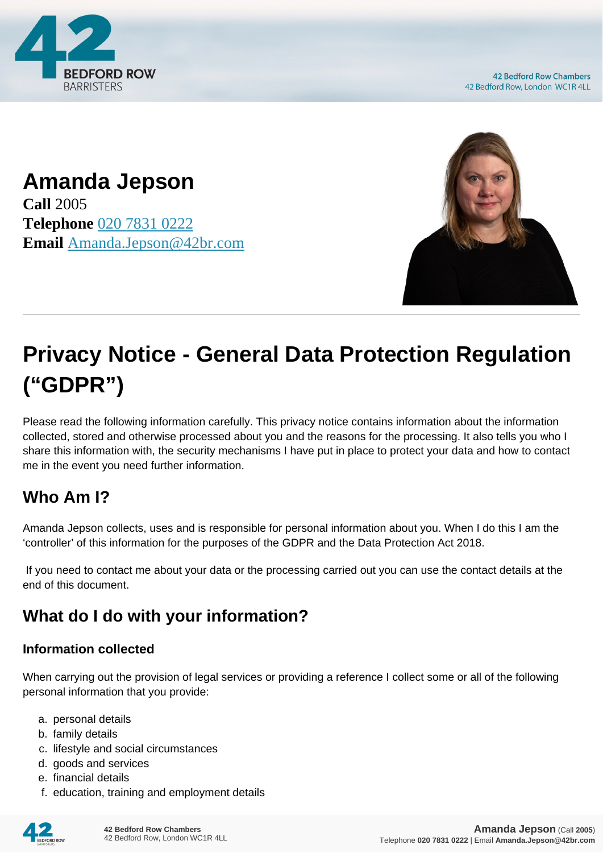

**42 Bedford Row Chambers** 42 Bedford Row, London WC1R 4LL

## **Amanda Jepson**

**Call** 2005 **Telephone** [020 7831 0222](https://pdf.codeshore.co/_42br/tel:020 7831 0222) **Email** [Amanda.Jepson@42br.com](mailto:Amanda.Jepson@42br.com)



# **Privacy Notice - General Data Protection Regulation ("GDPR")**

Please read the following information carefully. This privacy notice contains information about the information collected, stored and otherwise processed about you and the reasons for the processing. It also tells you who I share this information with, the security mechanisms I have put in place to protect your data and how to contact me in the event you need further information.

#### **Who Am I?**

Amanda Jepson collects, uses and is responsible for personal information about you. When I do this I am the 'controller' of this information for the purposes of the GDPR and the Data Protection Act 2018.

 If you need to contact me about your data or the processing carried out you can use the contact details at the end of this document.

### **What do I do with your information?**

#### **Information collected**

When carrying out the provision of legal services or providing a reference I collect some or all of the following personal information that you provide:

- a. personal details
- b. family details
- c. lifestyle and social circumstances
- d. goods and services
- e. financial details
- f. education, training and employment details

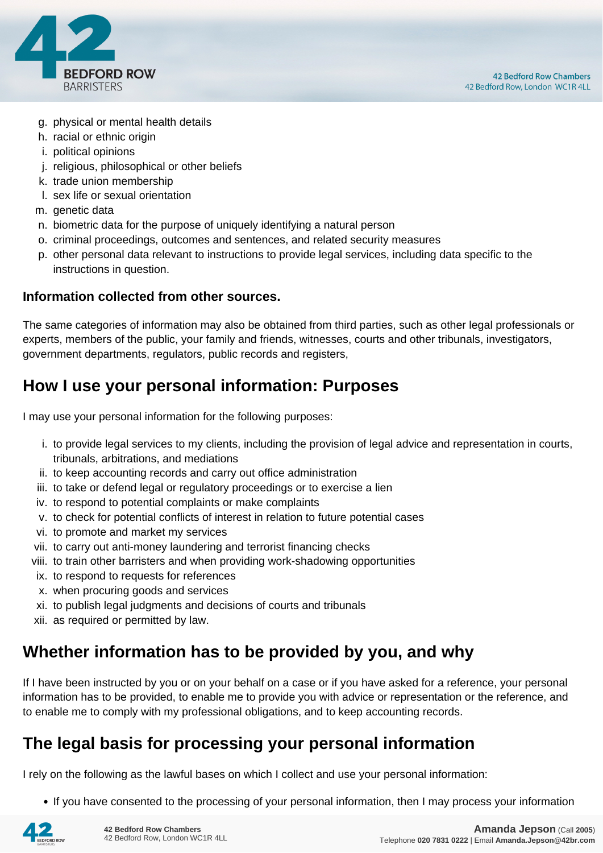

- g. physical or mental health details
- h. racial or ethnic origin
- i. political opinions
- j. religious, philosophical or other beliefs
- k. trade union membership
- l. sex life or sexual orientation
- m. genetic data
- n. biometric data for the purpose of uniquely identifying a natural person
- o. criminal proceedings, outcomes and sentences, and related security measures
- p. other personal data relevant to instructions to provide legal services, including data specific to the instructions in question.

#### **Information collected from other sources.**

The same categories of information may also be obtained from third parties, such as other legal professionals or experts, members of the public, your family and friends, witnesses, courts and other tribunals, investigators, government departments, regulators, public records and registers,

#### **How I use your personal information: Purposes**

I may use your personal information for the following purposes:

- i. to provide legal services to my clients, including the provision of legal advice and representation in courts, tribunals, arbitrations, and mediations
- ii. to keep accounting records and carry out office administration
- iii. to take or defend legal or regulatory proceedings or to exercise a lien
- iv. to respond to potential complaints or make complaints
- v. to check for potential conflicts of interest in relation to future potential cases
- vi. to promote and market my services
- vii. to carry out anti-money laundering and terrorist financing checks
- viii. to train other barristers and when providing work-shadowing opportunities
- ix. to respond to requests for references
- x. when procuring goods and services
- xi. to publish legal judgments and decisions of courts and tribunals
- xii. as required or permitted by law.

#### **Whether information has to be provided by you, and why**

If I have been instructed by you or on your behalf on a case or if you have asked for a reference, your personal information has to be provided, to enable me to provide you with advice or representation or the reference, and to enable me to comply with my professional obligations, and to keep accounting records.

#### **The legal basis for processing your personal information**

I rely on the following as the lawful bases on which I collect and use your personal information:

• If you have consented to the processing of your personal information, then I may process your information

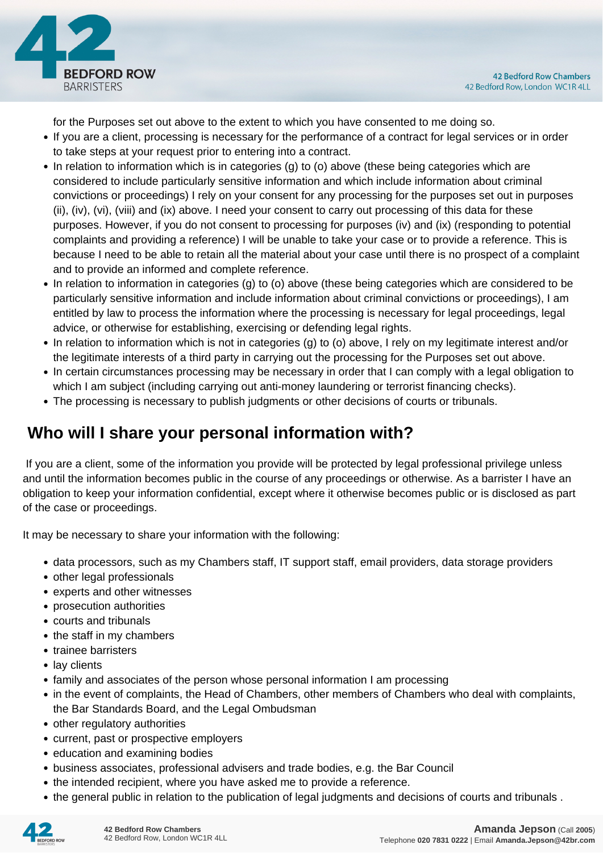

for the Purposes set out above to the extent to which you have consented to me doing so.

- If you are a client, processing is necessary for the performance of a contract for legal services or in order to take steps at your request prior to entering into a contract.
- In relation to information which is in categories (g) to (o) above (these being categories which are considered to include particularly sensitive information and which include information about criminal convictions or proceedings) I rely on your consent for any processing for the purposes set out in purposes (ii), (iv), (vi), (viii) and (ix) above. I need your consent to carry out processing of this data for these purposes. However, if you do not consent to processing for purposes (iv) and (ix) (responding to potential complaints and providing a reference) I will be unable to take your case or to provide a reference. This is because I need to be able to retain all the material about your case until there is no prospect of a complaint and to provide an informed and complete reference.
- In relation to information in categories (g) to (o) above (these being categories which are considered to be particularly sensitive information and include information about criminal convictions or proceedings), I am entitled by law to process the information where the processing is necessary for legal proceedings, legal advice, or otherwise for establishing, exercising or defending legal rights.
- In relation to information which is not in categories (g) to (o) above, I rely on my legitimate interest and/or the legitimate interests of a third party in carrying out the processing for the Purposes set out above.
- In certain circumstances processing may be necessary in order that I can comply with a legal obligation to which I am subject (including carrying out anti-money laundering or terrorist financing checks).
- The processing is necessary to publish judgments or other decisions of courts or tribunals.

#### **Who will I share your personal information with?**

 If you are a client, some of the information you provide will be protected by legal professional privilege unless and until the information becomes public in the course of any proceedings or otherwise. As a barrister I have an obligation to keep your information confidential, except where it otherwise becomes public or is disclosed as part of the case or proceedings.

It may be necessary to share your information with the following:

- data processors, such as my Chambers staff, IT support staff, email providers, data storage providers
- other legal professionals
- experts and other witnesses
- prosecution authorities
- courts and tribunals
- the staff in my chambers
- trainee barristers
- lay clients
- family and associates of the person whose personal information I am processing
- in the event of complaints, the Head of Chambers, other members of Chambers who deal with complaints, the Bar Standards Board, and the Legal Ombudsman
- other regulatory authorities
- current, past or prospective employers
- education and examining bodies
- business associates, professional advisers and trade bodies, e.g. the Bar Council
- the intended recipient, where you have asked me to provide a reference.
- the general public in relation to the publication of legal judgments and decisions of courts and tribunals .

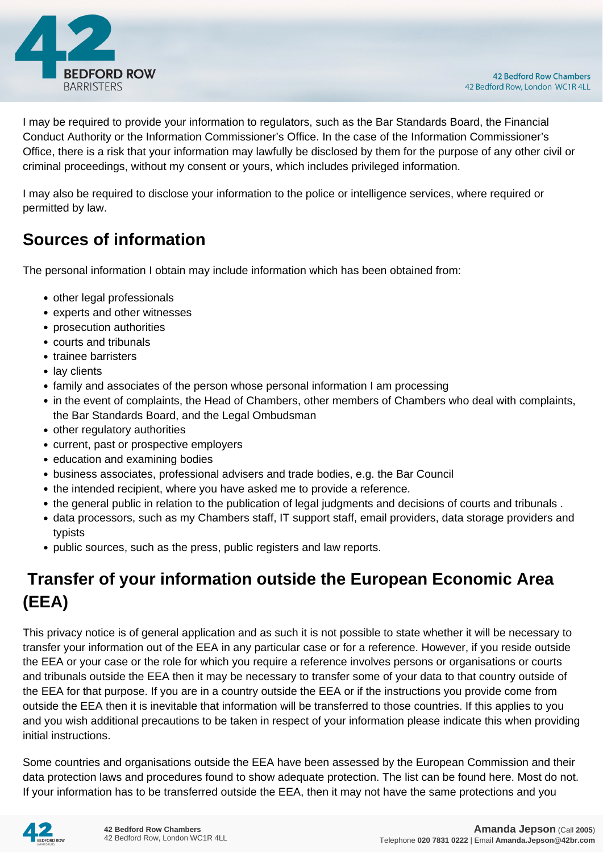

I may be required to provide your information to regulators, such as the Bar Standards Board, the Financial Conduct Authority or the Information Commissioner's Office. In the case of the Information Commissioner's Office, there is a risk that your information may lawfully be disclosed by them for the purpose of any other civil or criminal proceedings, without my consent or yours, which includes privileged information.

I may also be required to disclose your information to the police or intelligence services, where required or permitted by law.

#### **Sources of information**

The personal information I obtain may include information which has been obtained from:

- other legal professionals
- experts and other witnesses
- prosecution authorities
- courts and tribunals
- trainee barristers
- lay clients
- family and associates of the person whose personal information I am processing
- in the event of complaints, the Head of Chambers, other members of Chambers who deal with complaints, the Bar Standards Board, and the Legal Ombudsman
- other regulatory authorities
- current, past or prospective employers
- education and examining bodies
- business associates, professional advisers and trade bodies, e.g. the Bar Council
- the intended recipient, where you have asked me to provide a reference.
- the general public in relation to the publication of legal judgments and decisions of courts and tribunals .
- data processors, such as my Chambers staff, IT support staff, email providers, data storage providers and typists
- public sources, such as the press, public registers and law reports.

### **Transfer of your information outside the European Economic Area (EEA)**

This privacy notice is of general application and as such it is not possible to state whether it will be necessary to transfer your information out of the EEA in any particular case or for a reference. However, if you reside outside the EEA or your case or the role for which you require a reference involves persons or organisations or courts and tribunals outside the EEA then it may be necessary to transfer some of your data to that country outside of the EEA for that purpose. If you are in a country outside the EEA or if the instructions you provide come from outside the EEA then it is inevitable that information will be transferred to those countries. If this applies to you and you wish additional precautions to be taken in respect of your information please indicate this when providing initial instructions.

Some countries and organisations outside the EEA have been assessed by the European Commission and their data protection laws and procedures found to show adequate protection. The list can be found here. Most do not. If your information has to be transferred outside the EEA, then it may not have the same protections and you

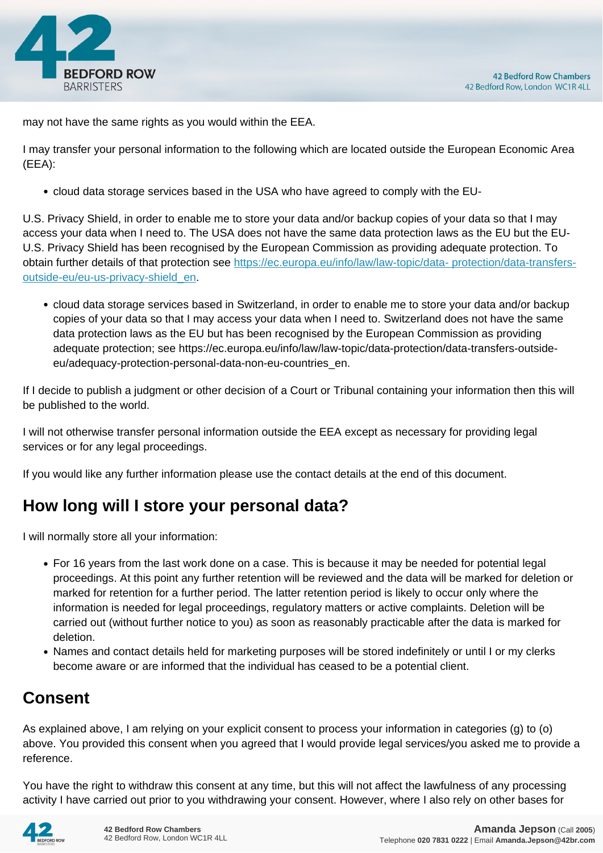

may not have the same rights as you would within the EEA.

I may transfer your personal information to the following which are located outside the European Economic Area (EEA):

cloud data storage services based in the USA who have agreed to comply with the EU-

U.S. Privacy Shield, in order to enable me to store your data and/or backup copies of your data so that I may access your data when I need to. The USA does not have the same data protection laws as the EU but the EU-U.S. Privacy Shield has been recognised by the European Commission as providing adequate protection. To obtain further details of that protection see [https://ec.europa.eu/info/law/law-topic/data- protection/data-transfers](https://ec.europa.eu/info/law/law-topic/data- protection/data-transfers-outside-eu/eu-us-privacy-shield_en)[outside-eu/eu-us-privacy-shield\\_en.](https://ec.europa.eu/info/law/law-topic/data- protection/data-transfers-outside-eu/eu-us-privacy-shield_en)

cloud data storage services based in Switzerland, in order to enable me to store your data and/or backup copies of your data so that I may access your data when I need to. Switzerland does not have the same data protection laws as the EU but has been recognised by the European Commission as providing adequate protection; see https://ec.europa.eu/info/law/law-topic/data-protection/data-transfers-outsideeu/adequacy-protection-personal-data-non-eu-countries\_en.

If I decide to publish a judgment or other decision of a Court or Tribunal containing your information then this will be published to the world.

I will not otherwise transfer personal information outside the EEA except as necessary for providing legal services or for any legal proceedings.

If you would like any further information please use the contact details at the end of this document.

#### **How long will I store your personal data?**

I will normally store all your information:

- For 16 years from the last work done on a case. This is because it may be needed for potential legal proceedings. At this point any further retention will be reviewed and the data will be marked for deletion or marked for retention for a further period. The latter retention period is likely to occur only where the information is needed for legal proceedings, regulatory matters or active complaints. Deletion will be carried out (without further notice to you) as soon as reasonably practicable after the data is marked for deletion.
- Names and contact details held for marketing purposes will be stored indefinitely or until I or my clerks become aware or are informed that the individual has ceased to be a potential client.

#### **Consent**

As explained above, I am relying on your explicit consent to process your information in categories (g) to (o) above. You provided this consent when you agreed that I would provide legal services/you asked me to provide a reference.

You have the right to withdraw this consent at any time, but this will not affect the lawfulness of any processing activity I have carried out prior to you withdrawing your consent. However, where I also rely on other bases for

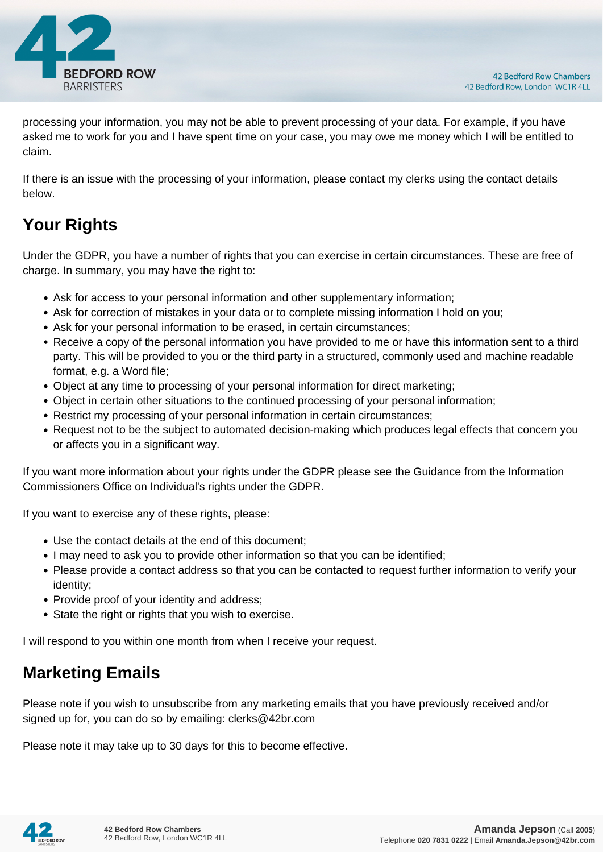

processing your information, you may not be able to prevent processing of your data. For example, if you have asked me to work for you and I have spent time on your case, you may owe me money which I will be entitled to claim.

If there is an issue with the processing of your information, please contact my clerks using the contact details below.

## **Your Rights**

Under the GDPR, you have a number of rights that you can exercise in certain circumstances. These are free of charge. In summary, you may have the right to:

- Ask for access to your personal information and other supplementary information;
- Ask for correction of mistakes in your data or to complete missing information I hold on you;
- Ask for your personal information to be erased, in certain circumstances;
- Receive a copy of the personal information you have provided to me or have this information sent to a third party. This will be provided to you or the third party in a structured, commonly used and machine readable format, e.g. a Word file;
- Object at any time to processing of your personal information for direct marketing;
- Object in certain other situations to the continued processing of your personal information;
- Restrict my processing of your personal information in certain circumstances;
- Request not to be the subject to automated decision-making which produces legal effects that concern you or affects you in a significant way.

If you want more information about your rights under the GDPR please see the Guidance from the Information Commissioners Office on Individual's rights under the GDPR.

If you want to exercise any of these rights, please:

- Use the contact details at the end of this document;
- I may need to ask you to provide other information so that you can be identified;
- Please provide a contact address so that you can be contacted to request further information to verify your identity;
- Provide proof of your identity and address;
- State the right or rights that you wish to exercise.

I will respond to you within one month from when I receive your request.

#### **Marketing Emails**

Please note if you wish to unsubscribe from any marketing emails that you have previously received and/or signed up for, you can do so by emailing: clerks@42br.com

Please note it may take up to 30 days for this to become effective.